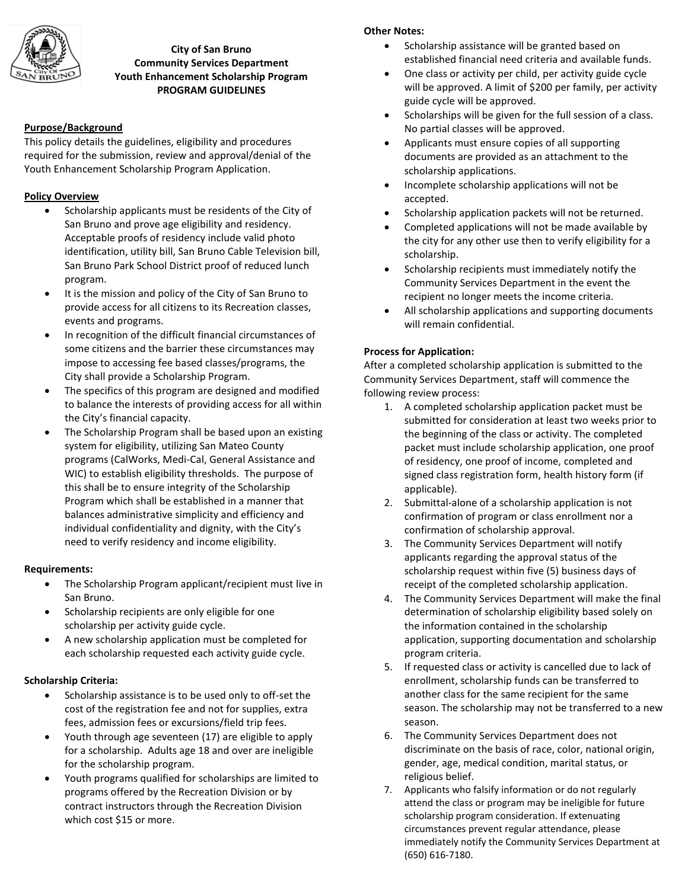

#### **City of San Bruno Community Services Department Youth Enhancement Scholarship Program PROGRAM GUIDELINES**

#### **Purpose/Background**

This policy details the guidelines, eligibility and procedures required for the submission, review and approval/denial of the Youth Enhancement Scholarship Program Application.

### **Policy Overview**

- Scholarship applicants must be residents of the City of San Bruno and prove age eligibility and residency. Acceptable proofs of residency include valid photo identification, utility bill, San Bruno Cable Television bill, San Bruno Park School District proof of reduced lunch program.
- It is the mission and policy of the City of San Bruno to provide access for all citizens to its Recreation classes, events and programs.
- In recognition of the difficult financial circumstances of some citizens and the barrier these circumstances may impose to accessing fee based classes/programs, the City shall provide a Scholarship Program.
- The specifics of this program are designed and modified to balance the interests of providing access for all within the City's financial capacity.
- The Scholarship Program shall be based upon an existing system for eligibility, utilizing San Mateo County programs (CalWorks, Medi-Cal, General Assistance and WIC) to establish eligibility thresholds. The purpose of this shall be to ensure integrity of the Scholarship Program which shall be established in a manner that balances administrative simplicity and efficiency and individual confidentiality and dignity, with the City's need to verify residency and income eligibility.

#### **Requirements:**

- The Scholarship Program applicant/recipient must live in San Bruno.
- Scholarship recipients are only eligible for one scholarship per activity guide cycle.
- A new scholarship application must be completed for each scholarship requested each activity guide cycle.

#### **Scholarship Criteria:**

- Scholarship assistance is to be used only to off-set the cost of the registration fee and not for supplies, extra fees, admission fees or excursions/field trip fees.
- Youth through age seventeen (17) are eligible to apply for a scholarship. Adults age 18 and over are ineligible for the scholarship program.
- Youth programs qualified for scholarships are limited to programs offered by the Recreation Division or by contract instructors through the Recreation Division which cost \$15 or more.

## **Other Notes:**

- Scholarship assistance will be granted based on established financial need criteria and available funds.
- One class or activity per child, per activity guide cycle will be approved. A limit of \$200 per family, per activity guide cycle will be approved.
- Scholarships will be given for the full session of a class. No partial classes will be approved.
- Applicants must ensure copies of all supporting documents are provided as an attachment to the scholarship applications.
- Incomplete scholarship applications will not be accepted.
- Scholarship application packets will not be returned.
- Completed applications will not be made available by the city for any other use then to verify eligibility for a scholarship.
- Scholarship recipients must immediately notify the Community Services Department in the event the recipient no longer meets the income criteria.
- All scholarship applications and supporting documents will remain confidential.

## **Process for Application:**

After a completed scholarship application is submitted to the Community Services Department, staff will commence the following review process:

- 1. A completed scholarship application packet must be submitted for consideration at least two weeks prior to the beginning of the class or activity. The completed packet must include scholarship application, one proof of residency, one proof of income, completed and signed class registration form, health history form (if applicable).
- 2. Submittal-alone of a scholarship application is not confirmation of program or class enrollment nor a confirmation of scholarship approval.
- 3. The Community Services Department will notify applicants regarding the approval status of the scholarship request within five (5) business days of receipt of the completed scholarship application.
- 4. The Community Services Department will make the final determination of scholarship eligibility based solely on the information contained in the scholarship application, supporting documentation and scholarship program criteria.
- 5. If requested class or activity is cancelled due to lack of enrollment, scholarship funds can be transferred to another class for the same recipient for the same season. The scholarship may not be transferred to a new season.
- 6. The Community Services Department does not discriminate on the basis of race, color, national origin, gender, age, medical condition, marital status, or religious belief.
- 7. Applicants who falsify information or do not regularly attend the class or program may be ineligible for future scholarship program consideration. If extenuating circumstances prevent regular attendance, please immediately notify the Community Services Department at (650) 616-7180.